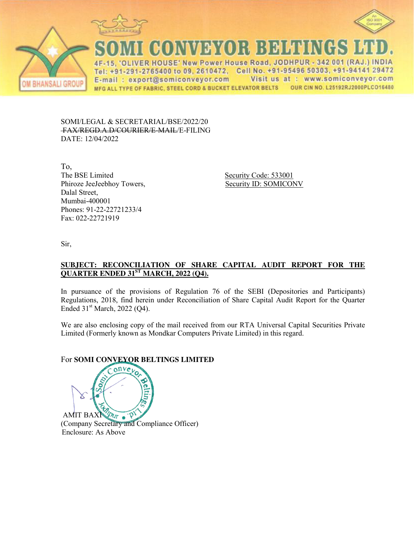





CONVEYOR BEHENGS

IVER HOUSE' New Power House Road, JODHPUR - 342 001 (RAJ.) INDIA  $\Delta F$ Tel: +91-291-2765400 to 09, 2610472, Cell No. +91-95496 50303, +91-94141 29472 Visit us at : www.somiconveyor.com E-mail: export@somiconveyor.com OUR CIN NO. L25192RJ2000PLCO16480 MFG ALL TYPE OF FABRIC, STEEL CORD & BUCKET ELEVATOR BELTS

SOMI/LEGAL & SECRETARIAL/BSE/2022/20 FAX/REGD.A.D/COURIER/E-MAIL/E-FILING DATE: 12/04/2022

To, The BSE Limited Security Code: 533001 Phiroze JeeJeebhoy Towers, Security ID: SOMICONV Dalal Street, Mumbai-400001 Phones: 91-22-22721233/4 Fax: 022-22721919

Sir,

## **SUBJECT: RECONCILIATION OF SHARE CAPITAL AUDIT REPORT FOR THE QUARTER ENDED 31ST MARCH, 2022 (Q4).**

In pursuance of the provisions of Regulation 76 of the SEBI (Depositories and Participants) Regulations, 2018, find herein under Reconciliation of Share Capital Audit Report for the Quarter Ended  $31<sup>st</sup> March, 2022 (Q4)$ .

We are also enclosing copy of the mail received from our RTA Universal Capital Securities Private Limited (Formerly known as Mondkar Computers Private Limited) in this regard.

# For **SOMI CONVEYOR BELTINGS LIMITED**

 $\n *Put*\n *•*\n  $\rho$$ **AMIT BAXN** (Company Secretary and Compliance Officer) Enclosure: As Above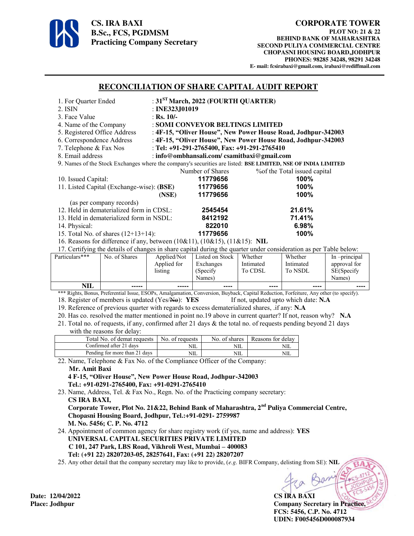

#### **CORPORATE TOWER**

**PLOT NO: 21 & 22 BEHIND BANK OF MAHARASHTRA SECOND PULIYA COMMERCIAL CENTRE CHOPASNI HOUSING BOARD,JODHPUR PHONES: 98285 34248, 98291 34248 E- mail: fcsirabaxi@gmail.com, irabaxi@rediffmail.com** 

## **RECONCILIATION OF SHARE CAPITAL AUDIT REPORT**

| 1. For Quarter Ended                                                                                                                    |                                                                             |                                                               | : $31ST March, 2022$ (FOURTH QUARTER) |           |           |               |  |  |  |
|-----------------------------------------------------------------------------------------------------------------------------------------|-----------------------------------------------------------------------------|---------------------------------------------------------------|---------------------------------------|-----------|-----------|---------------|--|--|--|
| 2. ISIN                                                                                                                                 |                                                                             |                                                               | : INE323,J01019                       |           |           |               |  |  |  |
| 3. Face Value                                                                                                                           |                                                                             | : Rs. $10/-$                                                  |                                       |           |           |               |  |  |  |
| 4. Name of the Company                                                                                                                  |                                                                             |                                                               | : SOMI CONVEYOR BELTINGS LIMITED      |           |           |               |  |  |  |
| 5. Registered Office Address<br>: 4F-15, "Oliver House", New Power House Road, Jodhpur-342003                                           |                                                                             |                                                               |                                       |           |           |               |  |  |  |
| 6. Correspondence Address                                                                                                               |                                                                             | : 4F-15, "Oliver House", New Power House Road, Jodhpur-342003 |                                       |           |           |               |  |  |  |
|                                                                                                                                         | 7. Telephone & Fax Nos<br>: Tel: $+91-291-2765400$ , Fax: $+91-291-2765410$ |                                                               |                                       |           |           |               |  |  |  |
| 8. Email address<br>: info@ombhansali.com/csamitbaxi@gmail.com                                                                          |                                                                             |                                                               |                                       |           |           |               |  |  |  |
| 9. Names of the Stock Exchanges where the company's securities are listed: BSE LIMITED, NSE OF INDIA LIMITED                            |                                                                             |                                                               |                                       |           |           |               |  |  |  |
| Number of Shares<br>% of the Total issued capital                                                                                       |                                                                             |                                                               |                                       |           |           |               |  |  |  |
| 10. Issued Capital:                                                                                                                     |                                                                             |                                                               | 11779656                              | 100%      |           |               |  |  |  |
|                                                                                                                                         | 11. Listed Capital (Exchange-wise): (BSE)                                   |                                                               | 11779656                              | 100%      |           |               |  |  |  |
|                                                                                                                                         |                                                                             | (NSE)                                                         | 11779656                              |           | 100%      |               |  |  |  |
| (as per company records)                                                                                                                |                                                                             |                                                               |                                       |           |           |               |  |  |  |
|                                                                                                                                         | 12. Held in dematerialized form in CDSL:                                    |                                                               | 2545454                               | 21.61%    |           |               |  |  |  |
| 13. Held in dematerialized form in NSDL:                                                                                                |                                                                             |                                                               | 8412192                               | 71.41%    |           |               |  |  |  |
| 14. Physical:                                                                                                                           |                                                                             |                                                               | 822010                                | 6.98%     |           |               |  |  |  |
| 15. Total No. of shares $(12+13+14)$ :                                                                                                  |                                                                             |                                                               | 11779656                              |           | 100%      |               |  |  |  |
| 16. Reasons for difference if any, between $(10\&11)$ , $(10\&15)$ , $(11\&15)$ : NIL                                                   |                                                                             |                                                               |                                       |           |           |               |  |  |  |
| 17. Certifying the details of changes in share capital during the quarter under consideration as per Table below:                       |                                                                             |                                                               |                                       |           |           |               |  |  |  |
| Particulars***                                                                                                                          | No. of Shares                                                               | Applied/Not                                                   | Listed on Stock                       | Whether   | Whether   | In -principal |  |  |  |
|                                                                                                                                         |                                                                             | Applied for                                                   | Exchanges                             | Intimated | Intimated | approval for  |  |  |  |
|                                                                                                                                         |                                                                             | listing                                                       | (Specify                              | To CDSL   | To NSDL   | SE(Specify    |  |  |  |
|                                                                                                                                         |                                                                             |                                                               | Names)                                |           |           | Names)        |  |  |  |
| NIL                                                                                                                                     |                                                                             |                                                               |                                       |           |           |               |  |  |  |
| *** Rights, Bonus, Preferential Issue, ESOPs, Amalgamation, Conversion, Buyback, Capital Reduction, Forfeiture, Any other (to specify). |                                                                             |                                                               |                                       |           |           |               |  |  |  |

18. Register of members is updated (Yes/No): **YES** If not, updated upto which date: **N.A** 

19. Reference of previous quarter with regards to excess dematerialized shares, .if any: **N.A**

20. Has co. resolved the matter mentioned in point no.19 above in current quarter? If not, reason why? **N.A** 21. Total no. of requests, if any, confirmed after 21 days & the total no. of requests pending beyond 21 days with the reasons for delay:

| $\ldots$                      |                 |               |                   |
|-------------------------------|-----------------|---------------|-------------------|
| Total No. of demat requests   | No. of requests | No. of shares | Reasons for delay |
| Confirmed after 21 days       | NШ              | NIL.          | NШ                |
| Pending for more than 21 days | NIL             | NIL           | NШ                |

22. Name, Telephone & Fax No. of the Compliance Officer of the Company: **Mr. Amit Baxi** 

 **4 F-15, "Oliver House", New Power House Road, Jodhpur-342003 Tel.: +91-0291-2765400, Fax: +91-0291-2765410** 

23. Name, Address, Tel. & Fax No., Regn. No. of the Practicing company secretary:  **CS IRA BAXI,** 

 **Corporate Tower, Plot No. 21&22, Behind Bank of Maharashtra, 2nd Puliya Commercial Centre, Chopasni Housing Board, Jodhpur, Tel.:+91-0291- 2759987 M. No. 5456; C. P. No. 4712** 

24. Appointment of common agency for share registry work (if yes, name and address): **YES UNIVERSAL CAPITAL SECURITIES PRIVATE LIMITED C 101, 247 Park, LBS Road, Vikhroli West, Mumbai – 400083 Tel: (+91 22) 28207203-05, 28257641, Fax: (+91 22) 28207207**

25. Any other detail that the company secretary may like to provide, (*e.g.* BIFR Company, delisting from SE): **NIL**

**Place: Jodhpur Company Secretary in Practice, FCS: 5456, C.P. No. 4712 UDIN: F005456D000087934** 

**Date: 12/04/2022 CS IRA BAXI**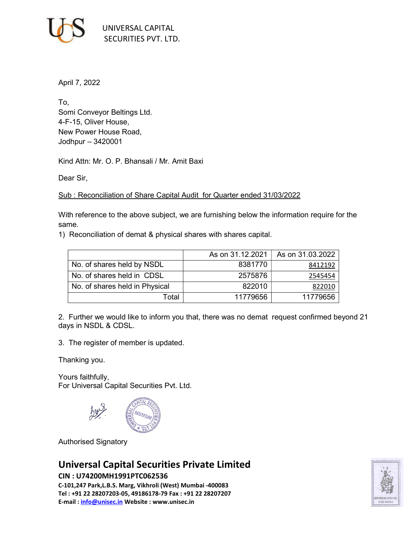

April 7, 2022

To, Somi Conveyor Beltings Ltd. 4-F-15, Oliver House, New Power House Road, Jodhpur – 3420001

Kind Attn: Mr. O. P. Bhansali / Mr. Amit Baxi

Dear Sir,

Sub : Reconciliation of Share Capital Audit for Quarter ended 31/03/2022

With reference to the above subject, we are furnishing below the information require for the same.

1) Reconciliation of demat & physical shares with shares capital.

|                                | As on 31.12.2021 | As on 31.03.2022 |
|--------------------------------|------------------|------------------|
| No. of shares held by NSDL     | 8381770          | 8412192          |
| No. of shares held in CDSL     | 2575876          | 2545454          |
| No. of shares held in Physical | 822010           | 822010           |
| Total                          | 11779656         | 11779656         |

2. Further we would like to inform you that, there was no demat request confirmed beyond 21 days in NSDL & CDSL.

3. The register of member is updated.

Thanking you.

Yours faithfully, For Universal Capital Securities Pvt. Ltd.



Authorised Signatory

# Universal Capital Securities Private Limited

#### CIN : U74200MH1991PTC062536

C-101,247 Park,L.B.S. Marg, Vikhroli (West) Mumbai -400083 Tel : +91 22 28207203-05, 49186178-79 Fax : +91 22 28207207 E-mail : info@unisec.in Website : www.unisec.in